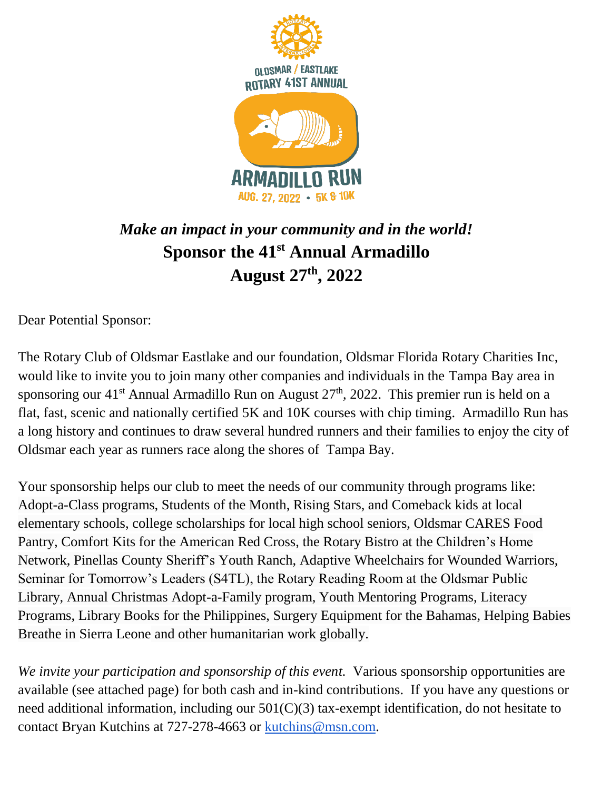

## *Make an impact in your community and in the world!* **Sponsor the 41st Annual Armadillo August 27 th, 2022**

Dear Potential Sponsor:

The Rotary Club of Oldsmar Eastlake and our foundation, Oldsmar Florida Rotary Charities Inc, would like to invite you to join many other companies and individuals in the Tampa Bay area in sponsoring our 41<sup>st</sup> Annual Armadillo Run on August 27<sup>th</sup>, 2022. This premier run is held on a flat, fast, scenic and nationally certified 5K and 10K courses with chip timing. Armadillo Run has a long history and continues to draw several hundred runners and their families to enjoy the city of Oldsmar each year as runners race along the shores of Tampa Bay.

Your sponsorship helps our club to meet the needs of our community through programs like: Adopt-a-Class programs, Students of the Month, Rising Stars, and Comeback kids at local elementary schools, college scholarships for local high school seniors, Oldsmar CARES Food Pantry, Comfort Kits for the American Red Cross, the Rotary Bistro at the Children's Home Network, Pinellas County Sheriff's Youth Ranch, Adaptive Wheelchairs for Wounded Warriors, Seminar for Tomorrow's Leaders (S4TL), the Rotary Reading Room at the Oldsmar Public Library, Annual Christmas Adopt-a-Family program, Youth Mentoring Programs, Literacy Programs, Library Books for the Philippines, Surgery Equipment for the Bahamas, Helping Babies Breathe in Sierra Leone and other humanitarian work globally.

We invite your participation and sponsorship of this event. Various sponsorship opportunities are available (see attached page) for both cash and in-kind contributions. If you have any questions or need additional information, including our 501(C)(3) tax-exempt identification, do not hesitate to contact Bryan Kutchins at 727-278-4663 or [kutchins@msn.com.](mailto:kutchins@msn.com)